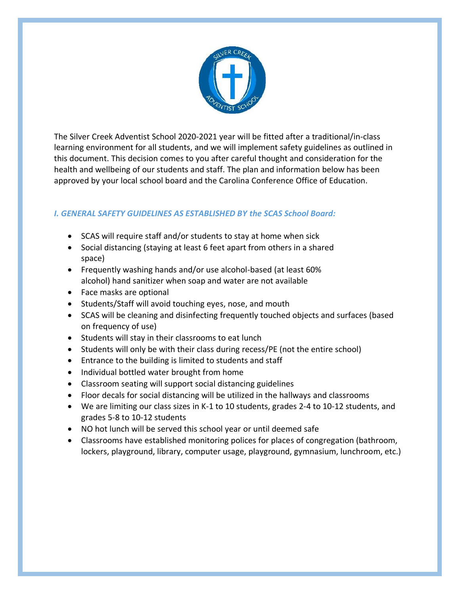

The Silver Creek Adventist School 2020-2021 year will be fitted after a traditional/in-class learning environment for all students, and we will implement safety guidelines as outlined in this document. This decision comes to you after careful thought and consideration for the health and wellbeing of our students and staff. The plan and information below has been approved by your local school board and the Carolina Conference Office of Education.

## *I. GENERAL SAFETY GUIDELINES AS ESTABLISHED BY the SCAS School Board:*

- SCAS will require staff and/or students to stay at home when sick
- Social distancing (staying at least 6 feet apart from others in a shared space)
- Frequently washing hands and/or use alcohol-based (at least 60% alcohol) hand sanitizer when soap and water are not available
- Face masks are optional
- Students/Staff will avoid touching eyes, nose, and mouth
- SCAS will be cleaning and disinfecting frequently touched objects and surfaces (based on frequency of use)
- Students will stay in their classrooms to eat lunch
- Students will only be with their class during recess/PE (not the entire school)
- Entrance to the building is limited to students and staff
- Individual bottled water brought from home
- Classroom seating will support social distancing guidelines
- Floor decals for social distancing will be utilized in the hallways and classrooms
- We are limiting our class sizes in K-1 to 10 students, grades 2-4 to 10-12 students, and grades 5-8 to 10-12 students
- NO hot lunch will be served this school year or until deemed safe
- Classrooms have established monitoring polices for places of congregation (bathroom, lockers, playground, library, computer usage, playground, gymnasium, lunchroom, etc.)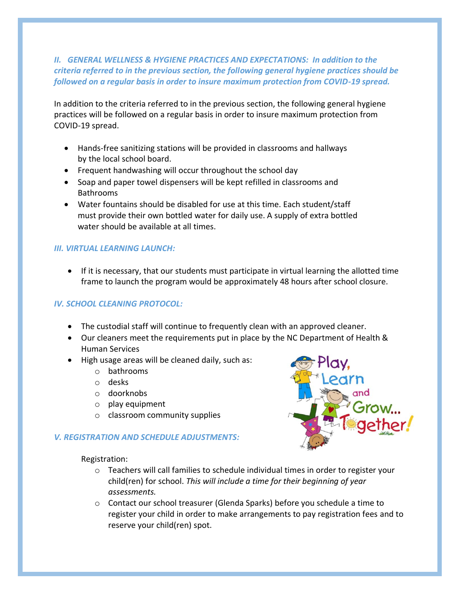## *II. GENERAL WELLNESS & HYGIENE PRACTICES AND EXPECTATIONS: In addition to the criteria referred to in the previous section, the following general hygiene practices should be followed on a regular basis in order to insure maximum protection from COVID-19 spread.*

In addition to the criteria referred to in the previous section, the following general hygiene practices will be followed on a regular basis in order to insure maximum protection from COVID-19 spread.

- Hands-free sanitizing stations will be provided in classrooms and hallways by the local school board.
- Frequent handwashing will occur throughout the school day
- Soap and paper towel dispensers will be kept refilled in classrooms and Bathrooms
- Water fountains should be disabled for use at this time. Each student/staff must provide their own bottled water for daily use. A supply of extra bottled water should be available at all times.

#### *III. VIRTUAL LEARNING LAUNCH:*

• If it is necessary, that our students must participate in virtual learning the allotted time frame to launch the program would be approximately 48 hours after school closure.

## *IV. SCHOOL CLEANING PROTOCOL:*

- The custodial staff will continue to frequently clean with an approved cleaner.
- Our cleaners meet the requirements put in place by the NC Department of Health & Human Services
- High usage areas will be cleaned daily, such as:
	- o bathrooms
	- o desks
	- o doorknobs
	- o play equipment
	- o classroom community supplies

#### *V. REGISTRATION AND SCHEDULE ADJUSTMENTS:*



Registration:

- o Teachers will call families to schedule individual times [in ord](https://creativecommons.org/licenses/by/3.0/)er to register your child(ren) for school. *This will include a time for their beginning of year assessments.*
- o Contact our school treasurer (Glenda Sparks) before you schedule a time to register your child in order to make arrangements to pay registration fees and to reserve your child(ren) spot.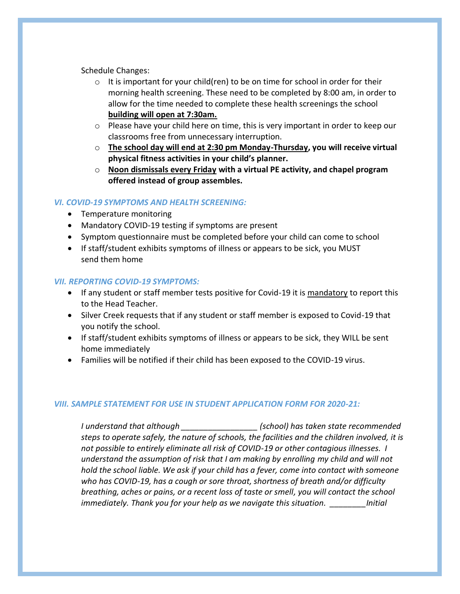Schedule Changes:

- $\circ$  It is important for your child(ren) to be on time for school in order for their morning health screening. These need to be completed by 8:00 am, in order to allow for the time needed to complete these health screenings the school **building will open at 7:30am.**
- $\circ$  Please have your child here on time, this is very important in order to keep our classrooms free from unnecessary interruption.
- o **The school day will end at 2:30 pm Monday-Thursday, you will receive virtual physical fitness activities in your child's planner.**
- o **Noon dismissals every Friday with a virtual PE activity, and chapel program offered instead of group assembles.**

#### *VI. COVID-19 SYMPTOMS AND HEALTH SCREENING:*

- Temperature monitoring
- Mandatory COVID-19 testing if symptoms are present
- Symptom questionnaire must be completed before your child can come to school
- If staff/student exhibits symptoms of illness or appears to be sick, you MUST send them home

#### *VII. REPORTING COVID-19 SYMPTOMS:*

- If any student or staff member tests positive for Covid-19 it is mandatory to report this to the Head Teacher.
- Silver Creek requests that if any student or staff member is exposed to Covid-19 that you notify the school.
- If staff/student exhibits symptoms of illness or appears to be sick, they WILL be sent home immediately
- Families will be notified if their child has been exposed to the COVID-19 virus.

#### *VIII. SAMPLE STATEMENT FOR USE IN STUDENT APPLICATION FORM FOR 2020-21:*

*I understand that although \_\_\_\_\_\_\_\_\_\_\_\_\_\_\_\_\_ (school) has taken state recommended steps to operate safely, the nature of schools, the facilities and the children involved, it is not possible to entirely eliminate all risk of COVID-19 or other contagious illnesses. I understand the assumption of risk that I am making by enrolling my child and will not hold the school liable. We ask if your child has a fever, come into contact with someone who has COVID-19, has a cough or sore throat, shortness of breath and/or difficulty breathing, aches or pains, or a recent loss of taste or smell, you will contact the school immediately. Thank you for your help as we navigate this situation. \_\_\_\_\_\_\_\_Initial*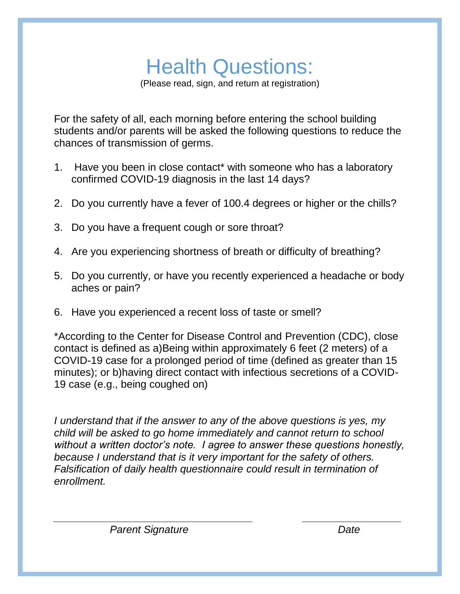# Health Questions:

(Please read, sign, and return at registration)

For the safety of all, each morning before entering the school building students and/or parents will be asked the following questions to reduce the chances of transmission of germs.

- 1. Have you been in close contact\* with someone who has a laboratory confirmed COVID-19 diagnosis in the last 14 days?
- 2. Do you currently have a fever of 100.4 degrees or higher or the chills?
- 3. Do you have a frequent cough or sore throat?
- 4. Are you experiencing shortness of breath or difficulty of breathing?
- 5. Do you currently, or have you recently experienced a headache or body aches or pain?
- 6. Have you experienced a recent loss of taste or smell?

\*According to the Center for Disease Control and Prevention (CDC), close contact is defined as a)Being within approximately 6 feet (2 meters) of a COVID-19 case for a prolonged period of time (defined as greater than 15 minutes); or b)having direct contact with infectious secretions of a COVID-19 case (e.g., being coughed on)

*I understand that if the answer to any of the above questions is yes, my child will be asked to go home immediately and cannot return to school without a written doctor's note. I agree to answer these questions honestly, because I understand that is it very important for the safety of others. Falsification of daily health questionnaire could result in termination of enrollment.*

*\_\_\_\_\_\_\_\_\_\_\_\_\_\_\_\_\_\_\_\_\_\_\_\_\_\_\_\_\_\_\_\_\_\_ \_\_\_\_\_\_\_\_\_\_\_\_\_\_\_\_\_ Parent Signature* Date